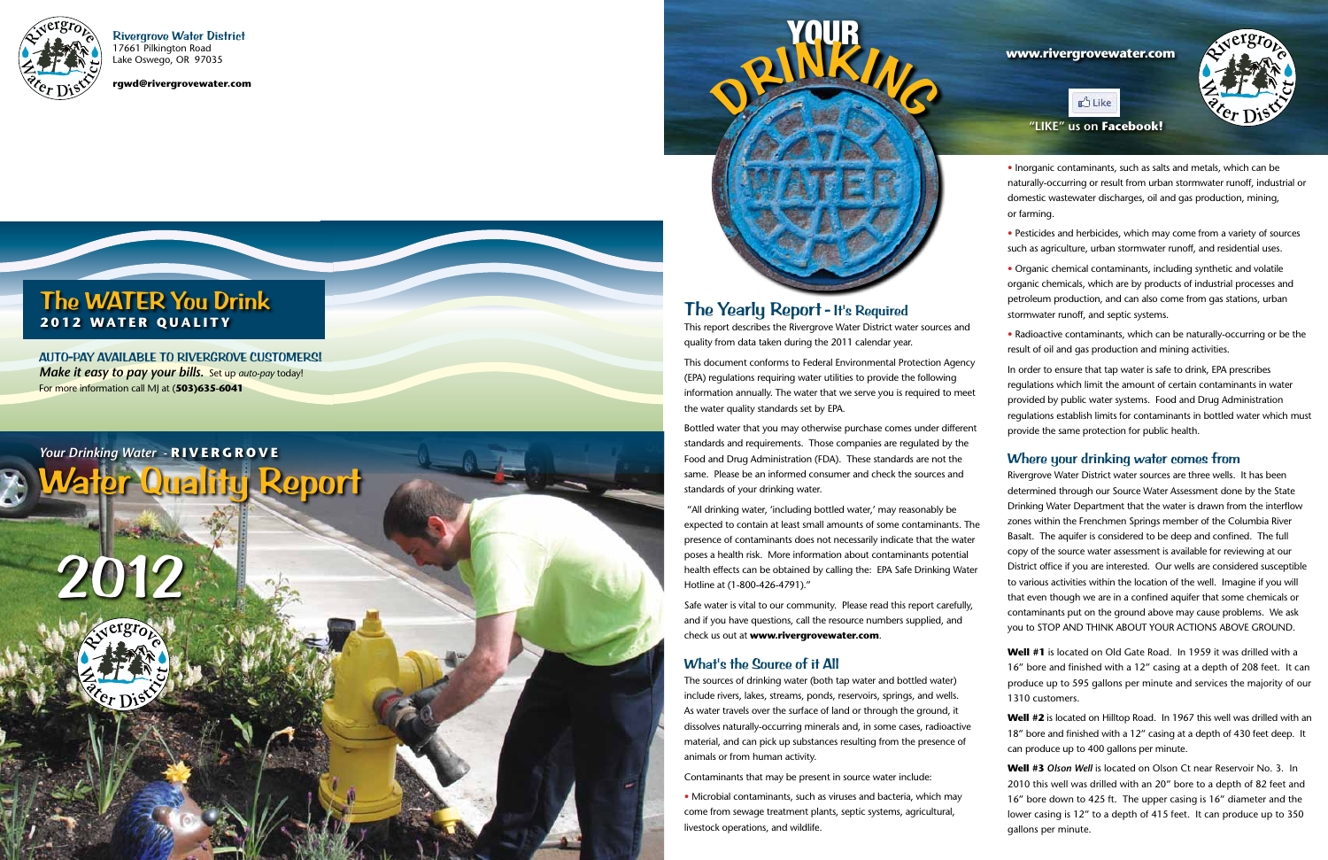Rivergrove Water District 17661 Pilkington Road Lake Oswego, OR 97035

**rgwd@rivergrovewater.com**

# The WATER You Drink **2012 WATER QUALITY**

Water Quality Report

# 2012

YOUR ORIN KING

# *Your Drinking Water -* **RIVERGROVE**

AUTO-PAY AVAILABLE TO RIVERGROVE CUSTOMERS! *Make it easy to pay your bills.* Set up *auto-pay* today! For more information call MJ at (**503)635-6041**

# The Yearly Report - It's Required

This report describes the Rivergrove Water District water sources and quality from data taken during the 2011 calendar year.

This document conforms to Federal Environmental Protection Agency (EPA) regulations requiring water utilities to provide the following information annually. The water that we serve you is required to meet the water quality standards set by EPA.

Bottled water that you may otherwise purchase comes under different standards and requirements. Those companies are regulated by the Food and Drug Administration (FDA). These standards are not the same. Please be an informed consumer and check the sources and standards of your drinking water.

 "All drinking water, 'including bottled water,' may reasonably be expected to contain at least small amounts of some contaminants. The presence of contaminants does not necessarily indicate that the water poses a health risk. More information about contaminants potential health effects can be obtained by calling the: EPA Safe Drinking Water Hotline at (1-800-426-4791)."

Safe water is vital to our community. Please read this report carefully, and if you have questions, call the resource numbers supplied, and check us out at **www.rivergrovewater.com** .

## What's the Source of it All

The sources of drinking water (both tap water and bottled water) include rivers, lakes, streams, ponds, reservoirs, springs, and wells. As water travels over the surface of land or through the ground, it dissolves naturally-occurring minerals and, in some cases, radioactive material, and can pick up substances resulting from the presence of animals or from human activity.

Contaminants that may be present in source water include:

• Microbial contaminants, such as viruses and bacteria, which may come from sewage treatment plants, septic systems, agricultural, livestock operations, and wildlife.



• Inorganic contaminants, such as salts and metals, which can be naturally-occurring or result from urban stormwater runoff, industrial or domestic wastewater discharges, oil and gas production, mining, or farming.

• Pesticides and herbicides, which may come from a variety of sources such as agriculture, urban stormwater runoff, and residential uses.

• Organic chemical contaminants, including synthetic and volatile organic chemicals, which are by products of industrial processes and petroleum production, and can also come from gas stations, urban stormwater runoff, and septic systems.

• Radioactive contaminants, which can be naturally-occurring or be the result of oil and gas production and mining activities.

In order to ensure that tap water is safe to drink, EPA prescribes regulations which limit the amount of certain contaminants in water provided by public water systems. Food and Drug Administration regulations establish limits for contaminants in bottled water which must provide the same protection for public health.

#### Where your drinking water comes from

Rivergrove Water District water sources are three wells. It has been determined through our Source Water Assessment done by the State Drinking Water Department that the water is drawn from the interflow zones within the Frenchmen Springs member of the Columbia River Basalt. The aquifer is considered to be deep and confined. The full copy of the source water assessment is available for reviewing at our District office if you are interested. Our wells are considered susceptible to various activities within the location of the well. Imagine if you will that even though we are in a confined aquifer that some chemicals or contaminants put on the ground above may cause problems. We ask you to STOP AND THINK ABOUT YOUR ACTIONS ABOVE GROUND.

**Well #1** is located on Old Gate Road. In 1959 it was drilled with a 16" bore and finished with a 12" casing at a depth of 208 feet. It can produce up to 595 gallons per minute and services the majority of our 1310 customers.

**Well #2** is located on Hilltop Road. In 1967 this well was drilled with an 18" bore and finished with a 12" casing at a depth of 430 feet deep. It can produce up to 400 gallons per minute.

**Well #3** *Olson Well* is located on Olson Ct near Reservoir No. 3. In 2010 this well was drilled with an 20" bore to a depth of 82 feet and 16" bore down to 425 ft. The upper casing is 16" diameter and the lower casing is 12" to a depth of 415 feet. It can produce up to 350 gallons per minute.

**<sup>R</sup>ive<sup>r</sup>g<sup>r</sup>ov<sup>e</sup>**

**E**r **Distinct** 

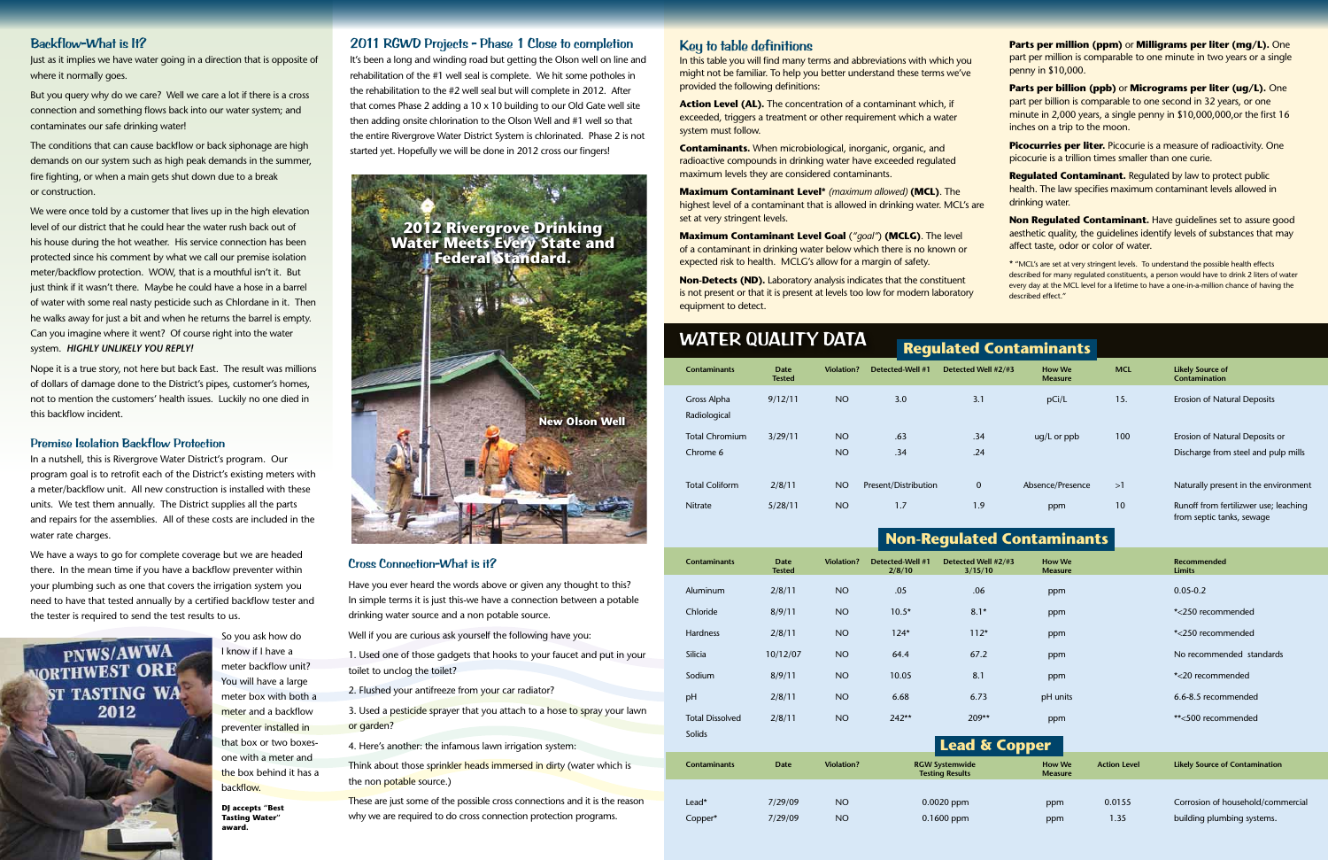#### Key to table definitions

In this table you will find many terms and abbreviations with which you might not be familiar. To help you better understand these terms we've provided the following definitions:

**Action Level (AL).** The concentration of a contaminant which, if exceeded, triggers a treatment or other requirement which a water system must follow.

**Contaminants.** When microbiological, inorganic, organic, and radioactive compounds in drinking water have exceeded regulated maximum levels they are considered contaminants.

**Maximum Contaminant Level\*** *(maximum allowed)* **(MCL)**. The highest level of a contaminant that is allowed in drinking water. MCL's are set at very stringent levels.

**Picocurries per liter.** Picocurie is a measure of radioactivity. One picocurie is a trillion times smaller than one curie.

**Maximum Contaminant Level Goal** (*"goal"*) **(MCLG)**. The level of a contaminant in drinking water below which there is no known or expected risk to health. MCLG's allow for a margin of safety.

**Non-Detects (ND).** Laboratory analysis indicates that the constituent is not present or that it is present at levels too low for modern laboratory equipment to detect.

**Parts per million (ppm)** or **Milligrams per liter (mg/L).** One part per million is comparable to one minute in two years or a single penny in \$10,000.

**Parts per billion (ppb)** or **Micrograms per liter (ug/L).** One part per billion is comparable to one second in 32 years, or one minute in 2,000 years, a single penny in \$10,000,000,or the first 16 inches on a trip to the moon.

**Regulated Contaminant.** Regulated by law to protect public health. The law specifies maximum contaminant levels allowed in drinking water.

**Non Regulated Contaminant.** Have guidelines set to assure good aesthetic quality, the guidelines identify levels of substances that may affect taste, odor or color of water.

\* "MCL's are set at very stringent levels. To understand the possible health effects described for many regulated constituents, a person would have to drink 2 liters of water every day at the MCL level for a lifetime to have a one-in-a-million chance of having the described effect."

#### Backflow-What is It?

Just as it implies we have water going in a direction that is opposite of where it normally goes.

But you query why do we care? Well we care a lot if there is a cross connection and something flows back into our water system; and contaminates our safe drinking water!

The conditions that can cause backflow or back siphonage are high demands on our system such as high peak demands in the summer, fire fighting, or when a main gets shut down due to a break or construction.

We were once told by a customer that lives up in the high elevation level of our district that he could hear the water rush back out of his house during the hot weather. His service connection has been protected since his comment by what we call our premise isolation meter/backflow protection. WOW, that is a mouthful isn't it. But just think if it wasn't there. Maybe he could have a hose in a barrel of water with some real nasty pesticide such as Chlordane in it. Then he walks away for just a bit and when he returns the barrel is empty. Can you imagine where it went? Of course right into the water system. *HIGHLY UNLIKELY YOU REPLY!*

Nope it is a true story, not here but back East. The result was millions of dollars of damage done to the District's pipes, customer's homes, not to mention the customers' health issues. Luckily no one died in this backflow incident.

> 3. Used a pesticide sprayer that you attach to a hose to spray your lawn or garden?

#### Premise Isolation Backflow Protection

In a nutshell, this is Rivergrove Water District's program. Our program goal is to retrofit each of the District's existing meters with a meter/backflow unit. All new construction is installed with these units. We test them annually. The District supplies all the parts and repairs for the assemblies. All of these costs are included in the water rate charges.

| <b>WATER QUALITY DATA</b> |                                    |                              |                   |                      |                               |                                 |            |                                                                       |  |  |  |  |
|---------------------------|------------------------------------|------------------------------|-------------------|----------------------|-------------------------------|---------------------------------|------------|-----------------------------------------------------------------------|--|--|--|--|
|                           |                                    |                              |                   |                      | <b>Regulated Contaminants</b> |                                 |            |                                                                       |  |  |  |  |
|                           | <b>Contaminants</b>                | <b>Date</b><br><b>Tested</b> | <b>Violation?</b> | Detected-Well #1     | Detected Well #2/#3           | <b>How We</b><br><b>Measure</b> | <b>MCL</b> | <b>Likely Source of</b><br><b>Contamination</b>                       |  |  |  |  |
|                           | <b>Gross Alpha</b><br>Radiological | 9/12/11                      | NO.               | 3.0                  | 3.1                           | pCi/L                           | 15.        | <b>Erosion of Natural Deposits</b>                                    |  |  |  |  |
|                           | <b>Total Chromium</b><br>Chrome 6  | 3/29/11                      | NO.<br><b>NO</b>  | .63<br>.34           | .34<br>.24                    | $uq/L$ or $ppb$                 | 100        | Erosion of Natural Deposits or<br>Discharge from steel and pulp mills |  |  |  |  |
|                           | <b>Total Coliform</b>              | 2/8/11                       | NO.               | Present/Distribution | $\mathbf 0$                   | Absence/Presence                | >1         | Naturally present in the environment                                  |  |  |  |  |
|                           | <b>Nitrate</b>                     | 5/28/11                      | NO.               | 1.7                  | 1.9                           | ppm                             | 10         | Runoff from fertilizwer use; leaching<br>from septic tanks, sewage    |  |  |  |  |

We have a ways to go for complete coverage but we are headed there. In the mean time if you have a backflow preventer within your plumbing such as one that covers the irrigation system you need to have that tested annually by a certified backflow tester and the tester is required to send the test results to us.



I know if I have a meter backflow unit? You will have a large meter box with both a meter and a backflow preventer installed in that box or two boxesone with a meter and the box behind it has a backflow.

#### 2011 RGWD Projects - Phase 1 Close to completion

It's been a long and winding road but getting the Olson well on line and rehabilitation of the #1 well seal is complete. We hit some potholes in the rehabilitation to the #2 well seal but will complete in 2012. After that comes Phase 2 adding a 10 x 10 building to our Old Gate well site then adding onsite chlorination to the Olson Well and #1 well so that the entire Rivergrove Water District System is chlorinated. Phase 2 is not started yet. Hopefully we will be done in 2012 cross our fingers!

# **Non-Regulated Contaminants**

#### Cross Connection-What is it?

| <b>Contaminants</b>    | <b>Date</b><br><b>Tested</b>                       | Violation? | Detected-Well #1<br>2/8/10 | Detected Well #2/#3<br>3/15/10       | <b>How We</b><br><b>Measure</b> |                                       | <b>Recommended</b><br><b>Limits</b> |
|------------------------|----------------------------------------------------|------------|----------------------------|--------------------------------------|---------------------------------|---------------------------------------|-------------------------------------|
| Aluminum               | 2/8/11                                             | <b>NO</b>  | .05                        | .06                                  | ppm                             |                                       | $0.05 - 0.2$                        |
| Chloride               | 8/9/11                                             | <b>NO</b>  | $10.5*$                    | $8.1*$                               | ppm                             |                                       | *<250 recommended                   |
| Hardness               | 2/8/11                                             | <b>NO</b>  | $124*$                     | $112*$                               | ppm                             |                                       | *<250 recommended                   |
| Silicia                | 10/12/07                                           | <b>NO</b>  | 64.4                       | 67.2                                 | ppm                             |                                       | No recommended standards            |
| Sodium                 | 8/9/11                                             | <b>NO</b>  | 10.05                      | 8.1                                  | ppm                             |                                       | *<20 recommended                    |
| pH                     | 2/8/11                                             | <b>NO</b>  | 6.68                       | 6.73                                 | pH units                        |                                       | 6.6-8.5 recommended                 |
| <b>Total Dissolved</b> | 2/8/11                                             | <b>NO</b>  | $242**$                    | $209**$                              | ppm                             |                                       | **<500 recommended                  |
| Solids                 |                                                    |            |                            | Lead & Copper                        |                                 |                                       |                                     |
| <b>Contaminants</b>    | Violation?<br><b>RGW Systemwide</b><br><b>Date</b> |            |                            | <b>How We</b><br><b>Action Level</b> |                                 | <b>Likely Source of Contamination</b> |                                     |
|                        |                                                    |            | <b>Testing Results</b>     |                                      | <b>Measure</b>                  |                                       |                                     |
| Lead*                  | 7/29/09                                            | <b>NO</b>  | $0.0020$ ppm               |                                      | ppm                             | 0.0155                                | Corrosion of household/commercial   |
| Copper*                | 7/29/09                                            | <b>NO</b>  |                            | $0.1600$ ppm                         | ppm                             | 1.35                                  | building plumbing systems.          |

Have you ever heard the words above or given any thought to this? In simple terms it is just this-we have a connection between a potable drinking water source and a non potable source.

Well if you are curious ask yourself the following have you:

1. Used one of those gadgets that hooks to your faucet and put in your toilet to unclog the toilet?

2. Flushed your antifreeze from your car radiator?

4. Here's another: the infamous lawn irrigation system:

Think about those sprinkler heads immersed in dirty (water which is the non potable source.)

These are just some of the possible cross connections and it is the reason why we are required to do cross connection protection programs.

**DJ accepts "Best Tasting Water" award.**